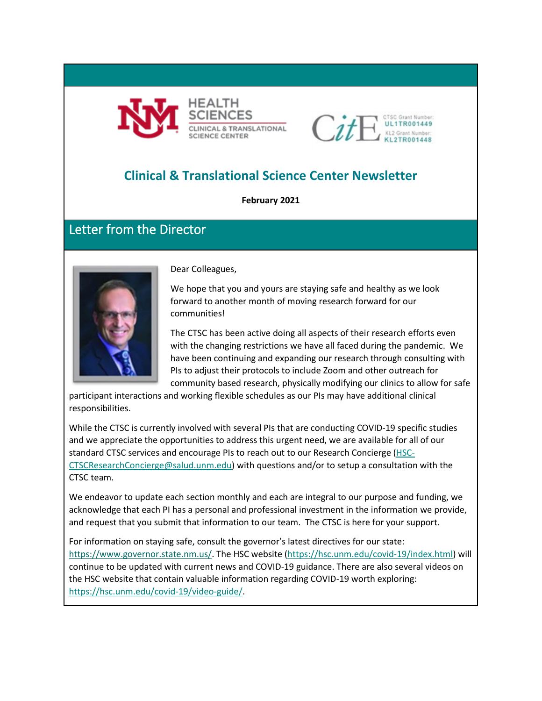



# **Clinical & Translational Science Center Newsletter**

**February 2021**

## Letter from the Director



Dear Colleagues,

We hope that you and yours are staying safe and healthy as we look forward to another month of moving research forward for our communities!

The CTSC has been active doing all aspects of their research efforts even with the changing restrictions we have all faced during the pandemic. We have been continuing and expanding our research through consulting with PIs to adjust their protocols to include Zoom and other outreach for community based research, physically modifying our clinics to allow for safe

participant interactions and working flexible schedules as our PIs may have additional clinical responsibilities.

While the CTSC is currently involved with several PIs that are conducting COVID-19 specific studies and we appreciate the opportunities to address this urgent need, we are available for all of our standard CTSC services and encourage PIs to reach out to our Research Concierge [\(HSC-](mailto:HSC-CTSCResearchConcierge@salud.unm.edu)[CTSCResearchConcierge@salud.unm.edu\)](mailto:HSC-CTSCResearchConcierge@salud.unm.edu) with questions and/or to setup a consultation with the CTSC team.

We endeavor to update each section monthly and each are integral to our purpose and funding, we acknowledge that each PI has a personal and professional investment in the information we provide, and request that you submit that information to our team. The CTSC is here for your support.

For information on staying safe, consult the governor's latest directives for our state: [https://www.governor.state.nm.us/.](https://www.governor.state.nm.us/) The HSC website [\(https://hsc.unm.edu/covid-19/index.html\)](https://hsc.unm.edu/covid-19/index.html) will continue to be updated with current news and COVID-19 guidance. There are also several videos on the HSC website that contain valuable information regarding COVID-19 worth exploring: [https://hsc.unm.edu/covid-19/video-guide/.](https://hsc.unm.edu/covid-19/video-guide/)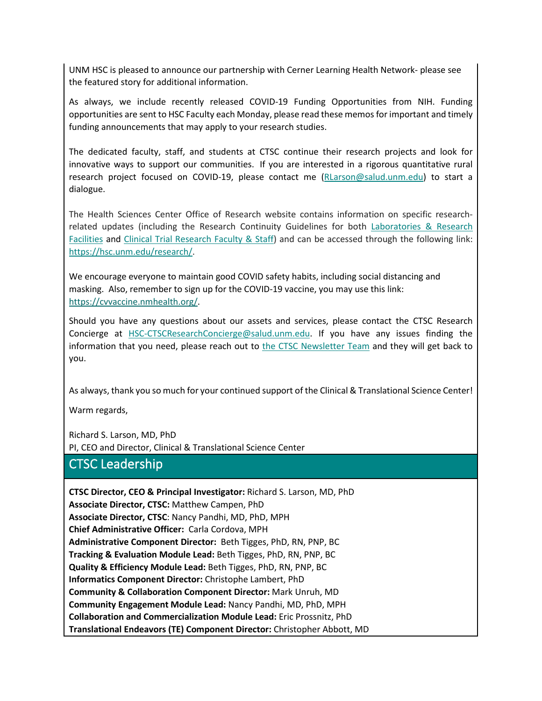UNM HSC is pleased to announce our partnership with Cerner Learning Health Network- please see the featured story for additional information.

As always, we include recently released COVID-19 Funding Opportunities from NIH. Funding opportunities are sent to HSC Faculty each Monday, please read these memos for important and timely funding announcements that may apply to your research studies.

The dedicated faculty, staff, and students at CTSC continue their research projects and look for innovative ways to support our communities. If you are interested in a rigorous quantitative rural research project focused on COVID-19, please contact me [\(RLarson@salud.unm.edu\)](mailto:RLarson@salud.unm.edu) to start a dialogue.

The Health Sciences Center Office of Research website contains information on specific researchrelated updates (including the Research Continuity Guidelines for both [Laboratories & Research](https://hsc.unm.edu/research/common/docs/research-continuity-guidance.pdf)  [Facilities](https://hsc.unm.edu/research/common/docs/research-continuity-guidance.pdf) and [Clinical Trial Research Faculty & Staff\)](https://hsc.unm.edu/research/common/docs/3-18-2020-covid-guidance-for-clinical-researchers.pdf) and can be accessed through the following link: [https://hsc.unm.edu/research/.](https://hsc.unm.edu/research/)

We encourage everyone to maintain good COVID safety habits, including social distancing and masking. Also, remember to sign up for the COVID-19 vaccine, you may use this link: [https://cvvaccine.nmhealth.org/.](https://cvvaccine.nmhealth.org/)

Should you have any questions about our assets and services, please contact the CTSC Research Concierge at [HSC-CTSCResearchConcierge@salud.unm.edu.](mailto:HSC-CTSCResearchConcierge@salud.unm.edu) If you have any issues finding the information that you need, please reach out to [the CTSC Newsletter Team](mailto:MKrakeDalton@salud.unm.edu;%20cncordova@salud.unm.edu?subject=CTSC%20Newsletter%20Question/Feedback) and they will get back to you.

As always, thank you so much for your continued support of the Clinical & Translational Science Center!

Warm regards,

Richard S. Larson, MD, PhD PI, CEO and Director, Clinical & Translational Science Center

### CTSC Leadership

**CTSC Director, CEO & Principal Investigator:** Richard S. Larson, MD, PhD **Associate Director, CTSC:** Matthew Campen, PhD **Associate Director, CTSC**: Nancy Pandhi, MD, PhD, MPH **Chief Administrative Officer:** Carla Cordova, MPH **Administrative Component Director:** Beth Tigges, PhD, RN, PNP, BC **Tracking & Evaluation Module Lead:** Beth Tigges, PhD, RN, PNP, BC **Quality & Efficiency Module Lead:** Beth Tigges, PhD, RN, PNP, BC **Informatics Component Director:** Christophe Lambert, PhD **Community & Collaboration Component Director:** Mark Unruh, MD **Community Engagement Module Lead:** Nancy Pandhi, MD, PhD, MPH **Collaboration and Commercialization Module Lead:** Eric Prossnitz, PhD **Translational Endeavors (TE) Component Director:** Christopher Abbott, MD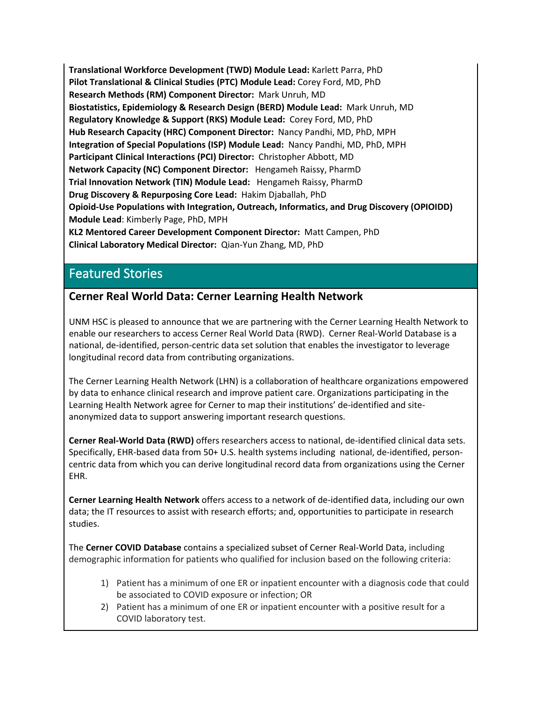**Translational Workforce Development (TWD) Module Lead:** Karlett Parra, PhD **Pilot Translational & Clinical Studies (PTC) Module Lead:** Corey Ford, MD, PhD **Research Methods (RM) Component Director:** Mark Unruh, MD **Biostatistics, Epidemiology & Research Design (BERD) Module Lead:** Mark Unruh, MD **Regulatory Knowledge & Support (RKS) Module Lead:** Corey Ford, MD, PhD **Hub Research Capacity (HRC) Component Director:** Nancy Pandhi, MD, PhD, MPH **Integration of Special Populations (ISP) Module Lead:** Nancy Pandhi, MD, PhD, MPH **Participant Clinical Interactions (PCI) Director:** Christopher Abbott, MD **Network Capacity (NC) Component Director:** Hengameh Raissy, PharmD **Trial Innovation Network (TIN) Module Lead:** Hengameh Raissy, PharmD **Drug Discovery & Repurposing Core Lead:** Hakim Djaballah, PhD **Opioid-Use Populations with Integration, Outreach, Informatics, and Drug Discovery (OPIOIDD) Module Lead**: Kimberly Page, PhD, MPH **KL2 Mentored Career Development Component Director:** Matt Campen, PhD

**Clinical Laboratory Medical Director:** Qian-Yun Zhang, MD, PhD

## Featured Stories

### **Cerner Real World Data: Cerner Learning Health Network**

UNM HSC is pleased to announce that we are partnering with the Cerner Learning Health Network to enable our researchers to access Cerner Real World Data (RWD). Cerner Real-World Database is a national, de-identified, person-centric data set solution that enables the investigator to leverage longitudinal record data from contributing organizations.

The Cerner Learning Health Network (LHN) is a collaboration of healthcare organizations empowered by data to enhance clinical research and improve patient care. Organizations participating in the Learning Health Network agree for Cerner to map their institutions' de-identified and siteanonymized data to support answering important research questions.

**Cerner Real-World Data (RWD)** offers researchers access to national, de-identified clinical data sets. Specifically, EHR-based data from 50+ U.S. health systems including national, de-identified, personcentric data from which you can derive longitudinal record data from organizations using the Cerner EHR.

**Cerner Learning Health Network** offers access to a network of de-identified data, including our own data; the IT resources to assist with research efforts; and, opportunities to participate in research studies.

The **Cerner COVID Database** contains a specialized subset of Cerner Real-World Data, including demographic information for patients who qualified for inclusion based on the following criteria:

- 1) Patient has a minimum of one ER or inpatient encounter with a diagnosis code that could be associated to COVID exposure or infection; OR
- 2) Patient has a minimum of one ER or inpatient encounter with a positive result for a COVID laboratory test.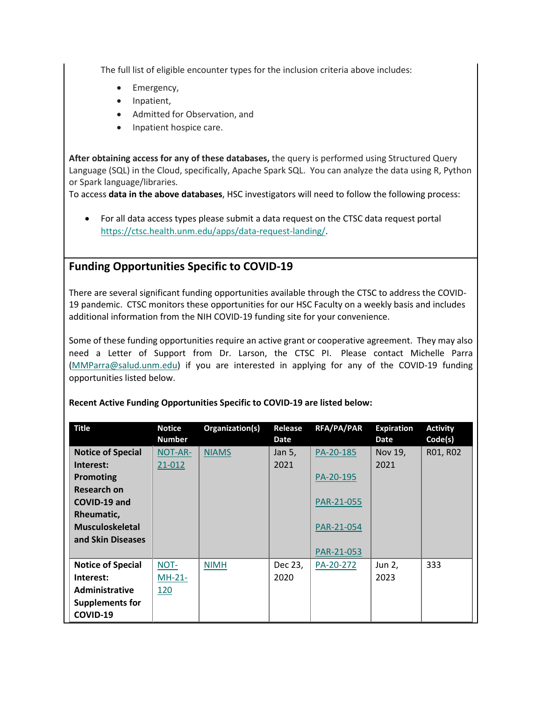The full list of eligible encounter types for the inclusion criteria above includes:

- Emergency,
- Inpatient,
- Admitted for Observation, and
- Inpatient hospice care.

**After obtaining access for any of these databases,** the query is performed using Structured Query Language (SQL) in the Cloud, specifically, Apache Spark SQL. You can analyze the data using R, Python or Spark language/libraries.

To access **data in the above databases**, HSC investigators will need to follow the following process:

• For all data access types please submit a data request on the CTSC data request portal [https://ctsc.health.unm.edu/apps/data-request-landing/.](https://ctsc.health.unm.edu/apps/data-request-landing/)

### **Funding Opportunities Specific to COVID-19**

There are several significant funding opportunities available through the CTSC to address the COVID-19 pandemic. CTSC monitors these opportunities for our HSC Faculty on a weekly basis and includes additional information from the NIH COVID-19 funding site for your convenience.

Some of these funding opportunities require an active grant or cooperative agreement. They may also need a Letter of Support from Dr. Larson, the CTSC PI. Please contact Michelle Parra [\(MMParra@salud.unm.edu\)](mailto:MMParra@salud.unm.edu) if you are interested in applying for any of the COVID-19 funding opportunities listed below.

| <b>Title</b>             | <b>Notice</b> | Organization(s) | Release | RFA/PA/PAR | <b>Expiration</b> | <b>Activity</b> |
|--------------------------|---------------|-----------------|---------|------------|-------------------|-----------------|
|                          | <b>Number</b> |                 | Date    |            | Date              | Code(s)         |
| <b>Notice of Special</b> | NOT-AR-       | <b>NIAMS</b>    | Jan 5,  | PA-20-185  | Nov 19,           | R01, R02        |
| Interest:                | 21-012        |                 | 2021    |            | 2021              |                 |
| Promoting                |               |                 |         | PA-20-195  |                   |                 |
| Research on              |               |                 |         |            |                   |                 |
| COVID-19 and             |               |                 |         | PAR-21-055 |                   |                 |
| Rheumatic,               |               |                 |         |            |                   |                 |
| <b>Musculoskeletal</b>   |               |                 |         | PAR-21-054 |                   |                 |
| and Skin Diseases        |               |                 |         |            |                   |                 |
|                          |               |                 |         | PAR-21-053 |                   |                 |
| <b>Notice of Special</b> | NOT-          | <b>NIMH</b>     | Dec 23, | PA-20-272  | Jun 2,            | 333             |
| Interest:                | $MH-21-$      |                 | 2020    |            | 2023              |                 |
| <b>Administrative</b>    | <u>120</u>    |                 |         |            |                   |                 |
| <b>Supplements for</b>   |               |                 |         |            |                   |                 |
| COVID-19                 |               |                 |         |            |                   |                 |

#### **Recent Active Funding Opportunities Specific to COVID-19 are listed below:**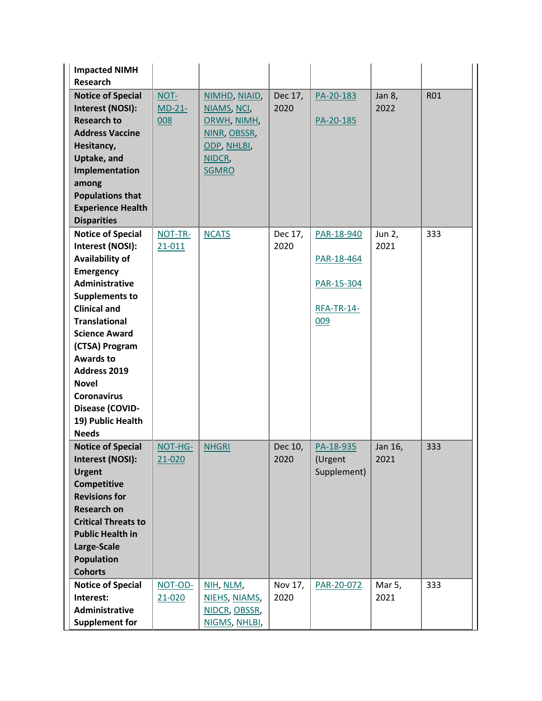| <b>Impacted NIMH</b><br><b>Research</b>                                                                                                                                                                                                                                                                                                                   |                         |                                                                                                      |                 |                                                                    |                 |            |
|-----------------------------------------------------------------------------------------------------------------------------------------------------------------------------------------------------------------------------------------------------------------------------------------------------------------------------------------------------------|-------------------------|------------------------------------------------------------------------------------------------------|-----------------|--------------------------------------------------------------------|-----------------|------------|
| <b>Notice of Special</b><br>Interest (NOSI):<br><b>Research to</b><br><b>Address Vaccine</b><br>Hesitancy,<br>Uptake, and<br>Implementation<br>among<br><b>Populations that</b><br><b>Experience Health</b><br><b>Disparities</b>                                                                                                                         | NOT-<br>$MD-21-$<br>008 | NIMHD, NIAID,<br>NIAMS, NCI,<br>ORWH, NIMH,<br>NINR, OBSSR,<br>ODP, NHLBI,<br>NIDCR,<br><b>SGMRO</b> | Dec 17,<br>2020 | PA-20-183<br>PA-20-185                                             | Jan 8,<br>2022  | <b>R01</b> |
| <b>Notice of Special</b><br>Interest (NOSI):<br>Availability of<br><b>Emergency</b><br>Administrative<br><b>Supplements to</b><br><b>Clinical and</b><br><b>Translational</b><br><b>Science Award</b><br>(CTSA) Program<br><b>Awards to</b><br>Address 2019<br><b>Novel</b><br><b>Coronavirus</b><br>Disease (COVID-<br>19) Public Health<br><b>Needs</b> | NOT-TR-<br>21-011       | <b>NCATS</b>                                                                                         | Dec 17,<br>2020 | PAR-18-940<br>PAR-18-464<br>PAR-15-304<br><b>RFA-TR-14-</b><br>009 | Jun 2,<br>2021  | 333        |
| <b>Notice of Special</b><br>Interest (NOSI):<br><b>Urgent</b><br>Competitive<br><b>Revisions for</b><br><b>Research on</b><br><b>Critical Threats to</b><br><b>Public Health in</b><br>Large-Scale<br><b>Population</b><br><b>Cohorts</b>                                                                                                                 | NOT-HG-<br>21-020       | <b>NHGRI</b>                                                                                         | Dec 10,<br>2020 | PA-18-935<br>(Urgent<br>Supplement)                                | Jan 16,<br>2021 | 333        |
| <b>Notice of Special</b><br>Interest:<br>Administrative<br><b>Supplement for</b>                                                                                                                                                                                                                                                                          | NOT-OD-<br>21-020       | NIH, NLM,<br>NIEHS, NIAMS,<br>NIDCR, OBSSR,<br>NIGMS, NHLBI,                                         | Nov 17,<br>2020 | PAR-20-072                                                         | Mar 5,<br>2021  | 333        |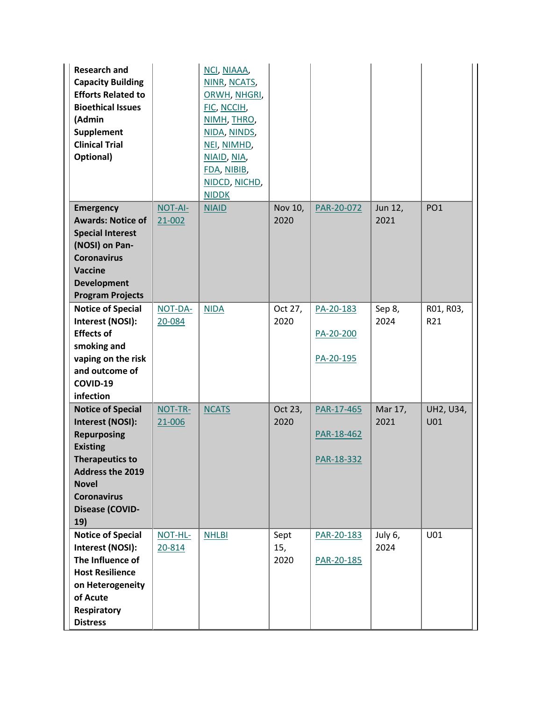| <b>Research and</b><br><b>Capacity Building</b><br><b>Efforts Related to</b><br><b>Bioethical Issues</b><br>(Admin<br><b>Supplement</b><br><b>Clinical Trial</b><br>Optional)                                     |                   | NCI, NIAAA,<br>NINR, NCATS,<br>ORWH, NHGRI,<br>FIC, NCCIH,<br>NIMH, THRO,<br>NIDA, NINDS,<br>NEI, NIMHD,<br>NIAID, NIA,<br>FDA, NIBIB,<br>NIDCD, NICHD,<br><b>NIDDK</b> |                     |                                        |                 |                  |
|-------------------------------------------------------------------------------------------------------------------------------------------------------------------------------------------------------------------|-------------------|-------------------------------------------------------------------------------------------------------------------------------------------------------------------------|---------------------|----------------------------------------|-----------------|------------------|
| <b>Emergency</b><br><b>Awards: Notice of</b><br><b>Special Interest</b><br>(NOSI) on Pan-<br><b>Coronavirus</b><br><b>Vaccine</b><br><b>Development</b><br><b>Program Projects</b>                                | NOT-AI-<br>21-002 | <b>NIAID</b>                                                                                                                                                            | Nov 10,<br>2020     | PAR-20-072                             | Jun 12,<br>2021 | PO <sub>1</sub>  |
| <b>Notice of Special</b><br>Interest (NOSI):<br><b>Effects of</b><br>smoking and<br>vaping on the risk<br>and outcome of<br>COVID-19<br>infection                                                                 | NOT-DA-<br>20-084 | <b>NIDA</b>                                                                                                                                                             | Oct 27,<br>2020     | PA-20-183<br>PA-20-200<br>PA-20-195    | Sep 8,<br>2024  | R01, R03,<br>R21 |
| <b>Notice of Special</b><br>Interest (NOSI):<br><b>Repurposing</b><br><b>Existing</b><br><b>Therapeutics to</b><br><b>Address the 2019</b><br><b>Novel</b><br><b>Coronavirus</b><br><b>Disease (COVID-</b><br>19) | NOT-TR-<br>21-006 | <b>NCATS</b>                                                                                                                                                            | Oct 23,<br>2020     | PAR-17-465<br>PAR-18-462<br>PAR-18-332 | Mar 17,<br>2021 | UH2, U34,<br>U01 |
| <b>Notice of Special</b><br>Interest (NOSI):<br>The Influence of<br><b>Host Resilience</b><br>on Heterogeneity<br>of Acute<br>Respiratory<br><b>Distress</b>                                                      | NOT-HL-<br>20-814 | <b>NHLBI</b>                                                                                                                                                            | Sept<br>15,<br>2020 | PAR-20-183<br>PAR-20-185               | July 6,<br>2024 | U01              |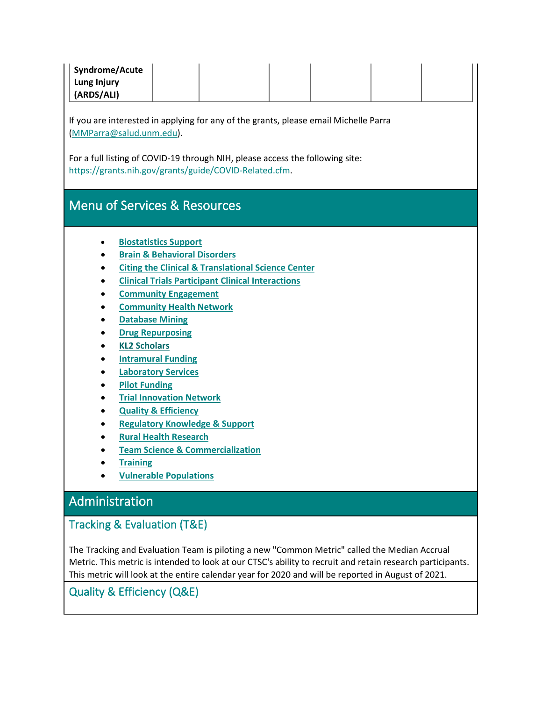| Syndrome/Acute |  |  |  |
|----------------|--|--|--|
| Lung Injury    |  |  |  |
| (ARDS/ALI)     |  |  |  |

If you are interested in applying for any of the grants, please email Michelle Parra [\(MMParra@salud.unm.edu\)](mailto:MMParra@salud.unm.edu).

For a full listing of COVID-19 through NIH, please access the following site: [https://grants.nih.gov/grants/guide/COVID-Related.cfm.](https://grants.nih.gov/grants/guide/COVID-Related.cfm)

## Menu of Services & Resources

- **Biostatistics Support**
- **Brain & Behavioral Disorders**
- **[Citing the Clinical & Translational Science Center](#page-15-0)**
- **Clinical Trials Participant Clinical Interactions**
- **Community Engagement**
- **[Community Health Network](#page-12-0)**
- **Database Mining**
- **Drug Repurposing**
- **KL2 Scholars**
- **[Intramural Funding](#page-9-0)**
- **[Laboratory Services](#page-14-0)**
- **Pilot [Funding](#page-9-0)**
- **[Trial Innovation Network](#page-13-0)**
- **[Quality & Efficiency](#page-6-0)**
- **[Regulatory Knowledge & Support](#page-11-0)**
- **Rural Health Research**
- **[Team Science & Commercialization](#page-8-0)**
- **[Training](#page-9-1)**
- **[Vulnerable Populations](#page-12-1)**

## Administration

### Tracking & Evaluation (T&E)

The Tracking and Evaluation Team is piloting a new "Common Metric" called the Median Accrual Metric. This metric is intended to look at our CTSC's ability to recruit and retain research participants. This metric will look at the entire calendar year for 2020 and will be reported in August of 2021.

### <span id="page-6-0"></span>Quality & Efficiency (Q&E)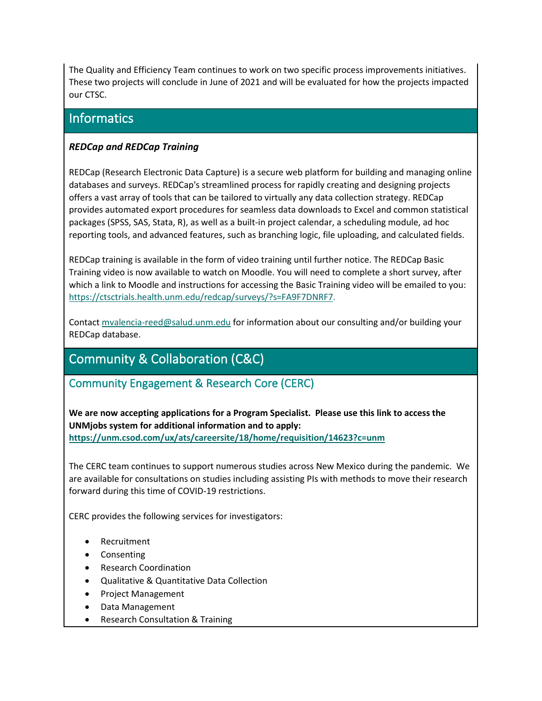The Quality and Efficiency Team continues to work on two specific process improvements initiatives. These two projects will conclude in June of 2021 and will be evaluated for how the projects impacted our CTSC.

## **Informatics**

### *REDCap and REDCap Training*

REDCap (Research Electronic Data Capture) is a secure web platform for building and managing online databases and surveys. REDCap's streamlined process for rapidly creating and designing projects offers a vast array of tools that can be tailored to virtually any data collection strategy. REDCap provides automated export procedures for seamless data downloads to Excel and common statistical packages (SPSS, SAS, Stata, R), as well as a built-in project calendar, a scheduling module, ad hoc reporting tools, and advanced features, such as branching logic, file uploading, and calculated fields.

REDCap training is available in the form of video training until further notice. The REDCap Basic Training video is now available to watch on Moodle. You will need to complete a short survey, after which a link to Moodle and instructions for accessing the Basic Training video will be emailed to you: [https://ctsctrials.health.unm.edu/redcap/surveys/?s=FA9F7DNRF7.](https://ctsctrials.health.unm.edu/redcap/surveys/?s=FA9F7DNRF7)

Contact [mvalencia-reed@salud.unm.edu](mailto:mvalencia-reed@salud.unm.edu) for information about our consulting and/or building your REDCap database.

# Community & Collaboration (C&C)

### Community Engagement & Research Core (CERC)

**We are now accepting applications for a Program Specialist. Please use this link to access the UNMjobs system for additional information and to apply: <https://unm.csod.com/ux/ats/careersite/18/home/requisition/14623?c=unm>**

The CERC team continues to support numerous studies across New Mexico during the pandemic. We are available for consultations on studies including assisting PIs with methods to move their research forward during this time of COVID-19 restrictions.

CERC provides the following services for investigators:

- Recruitment
- Consenting
- Research Coordination
- Qualitative & Quantitative Data Collection
- Project Management
- Data Management
- Research Consultation & Training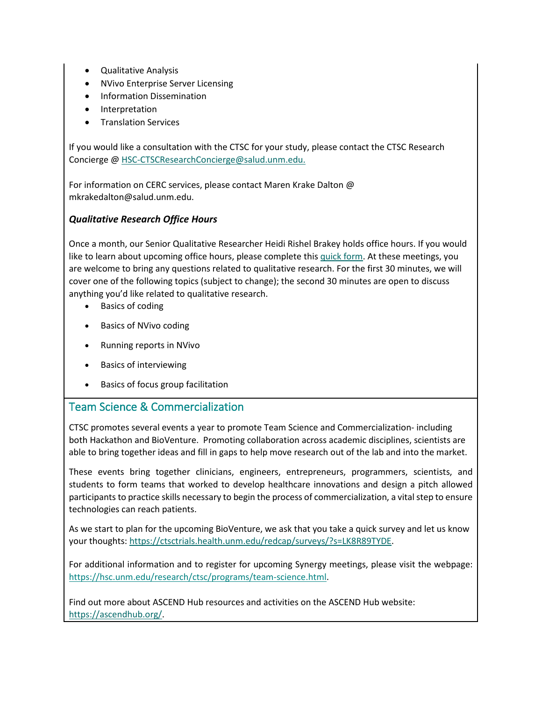- Qualitative Analysis
- NVivo Enterprise Server Licensing
- Information Dissemination
- Interpretation
- Translation Services

If you would like a consultation with the CTSC for your study, please contact the CTSC Research Concierge @ [HSC-CTSCResearchConcierge@salud.unm.edu.](mailto:HSC-CTSCResearchConcierge@salud.unm.edu)

For information on CERC services, please contact Maren Krake Dalton @ mkrakedalton@salud.unm.edu.

### *Qualitative Research Office Hours*

Once a month, our Senior Qualitative Researcher Heidi Rishel Brakey holds office hours. If you would like to learn about upcoming office hours, please complete this [quick form.](https://ctsctrials.health.unm.edu/redcap/surveys/?s=RYDC9MY9J8) At these meetings, you are welcome to bring any questions related to qualitative research. For the first 30 minutes, we will cover one of the following topics (subject to change); the second 30 minutes are open to discuss anything you'd like related to qualitative research.

- Basics of coding
- Basics of NVivo coding
- Running reports in NVivo
- Basics of interviewing
- Basics of focus group facilitation

### <span id="page-8-0"></span>Team Science & Commercialization

CTSC promotes several events a year to promote Team Science and Commercialization- including both Hackathon and BioVenture. Promoting collaboration across academic disciplines, scientists are able to bring together ideas and fill in gaps to help move research out of the lab and into the market.

These events bring together clinicians, engineers, entrepreneurs, programmers, scientists, and students to form teams that worked to develop healthcare innovations and design a pitch allowed participants to practice skills necessary to begin the process of commercialization, a vital step to ensure technologies can reach patients.

As we start to plan for the upcoming BioVenture, we ask that you take a quick survey and let us know your thoughts: [https://ctsctrials.health.unm.edu/redcap/surveys/?s=LK8R89TYDE.](https://ctsctrials.health.unm.edu/redcap/surveys/?s=LK8R89TYDE)

For additional information and to register for upcoming Synergy meetings, please visit the webpage: [https://hsc.unm.edu/research/ctsc/programs/team-science.html.](https://hsc.unm.edu/research/ctsc/programs/team-science.html)

Find out more about ASCEND Hub resources and activities on the ASCEND Hub website: [https://ascendhub.org/.](https://ascendhub.org/)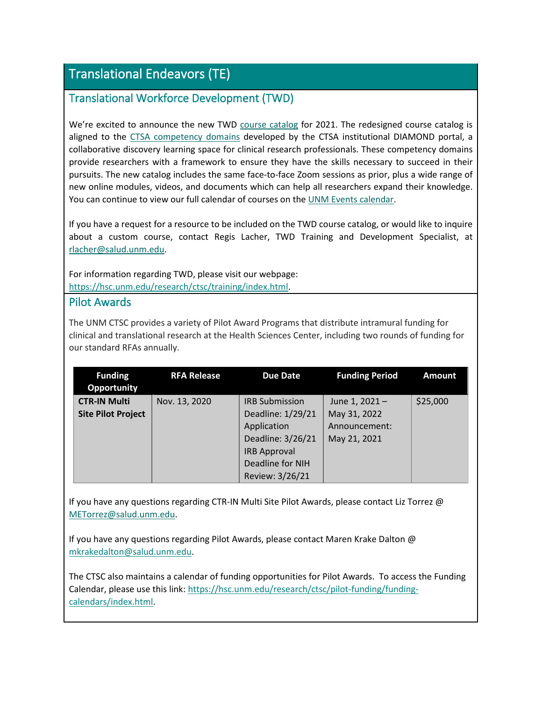# Translational Endeavors (TE)

### <span id="page-9-1"></span>Translational Workforce Development (TWD)

We're excited to announce the new TWD [course catalog](https://hsc.unm.edu/research/ctsc/training/training-summaries/) for 2021. The redesigned course catalog is aligned to the [CTSA competency domains](https://diamondportal.org/competency-domains/) developed by the CTSA institutional DIAMOND portal, a collaborative discovery learning space for clinical research professionals. These competency domains provide researchers with a framework to ensure they have the skills necessary to succeed in their pursuits. The new catalog includes the same face-to-face Zoom sessions as prior, plus a wide range of new online modules, videos, and documents which can help all researchers expand their knowledge. You can continue to view our full calendar of courses on the [UNM Events calendar.](https://unmevents.unm.edu/site/hsc?category=e80bcc4a-124b-494d-8945-054a0092ef35&view=grid.)

If you have a request for a resource to be included on the TWD course catalog, or would like to inquire about a custom course, contact Regis Lacher, TWD Training and Development Specialist, at [rlacher@salud.unm.edu.](mailto:rlacher@salud.unm.edu)

For information regarding TWD, please visit our webpage: [https://hsc.unm.edu/research/ctsc/training/index.html.](https://hsc.unm.edu/research/ctsc/training/index.html)

### <span id="page-9-0"></span>Pilot Awards

The UNM CTSC provides a variety of Pilot Award Programs that distribute intramural funding for clinical and translational research at the Health Sciences Center, including two rounds of funding for our standard RFAs annually.

| <b>Funding</b><br><b>Opportunity</b> | <b>RFA Release</b> | <b>Due Date</b>       | <b>Funding Period</b> | <b>Amount</b> |
|--------------------------------------|--------------------|-----------------------|-----------------------|---------------|
| <b>CTR-IN Multi</b>                  | Nov. 13, 2020      | <b>IRB Submission</b> | June 1, 2021-         | \$25,000      |
| <b>Site Pilot Project</b>            |                    | Deadline: 1/29/21     | May 31, 2022          |               |
|                                      |                    | Application           | Announcement:         |               |
|                                      |                    | Deadline: 3/26/21     | May 21, 2021          |               |
|                                      |                    | <b>IRB Approval</b>   |                       |               |
|                                      |                    | Deadline for NIH      |                       |               |
|                                      |                    | Review: 3/26/21       |                       |               |

If you have any questions regarding CTR-IN Multi Site Pilot Awards, please contact Liz Torrez @ [METorrez@salud.unm.edu.](mailto:METorrez@salud.unm.edu)

If you have any questions regarding Pilot Awards, please contact Maren Krake Dalton @ [mkrakedalton@salud.unm.edu.](mailto:mkrakedalton@salud.unm.edu)

The CTSC also maintains a calendar of funding opportunities for Pilot Awards. To access the Funding Calendar, please use this link: [https://hsc.unm.edu/research/ctsc/pilot-funding/funding](https://hsc.unm.edu/research/ctsc/pilot-funding/funding-calendars/index.html)[calendars/index.html.](https://hsc.unm.edu/research/ctsc/pilot-funding/funding-calendars/index.html)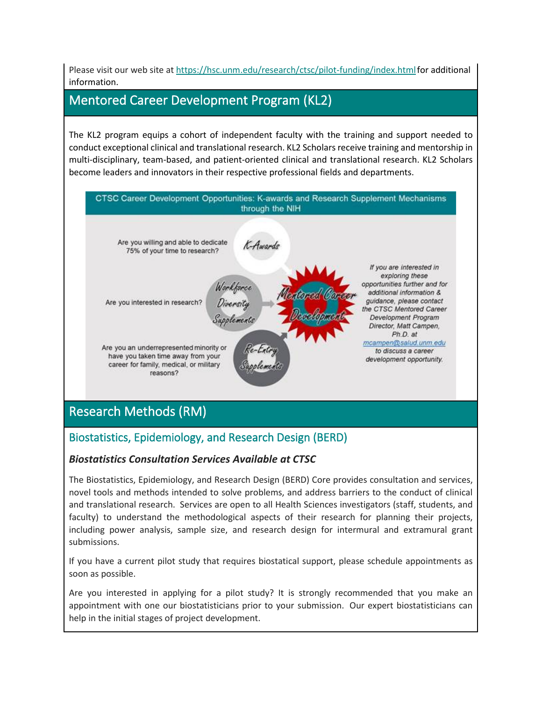Please visit our web site at [https://hsc.unm.edu/research/ctsc/pilot-funding/index.htmlf](https://hsc.unm.edu/research/ctsc/pilot-funding/index.html)or additional information.

## Mentored Career Development Program (KL2)

The KL2 program equips a cohort of independent faculty with the training and support needed to conduct exceptional clinical and translational research. KL2 Scholars receive training and mentorship in multi-disciplinary, team-based, and patient-oriented clinical and translational research. KL2 Scholars become leaders and innovators in their respective professional fields and departments.



# Research Methods (RM)

## Biostatistics, Epidemiology, and Research Design (BERD)

### *Biostatistics Consultation Services Available at CTSC*

The Biostatistics, Epidemiology, and Research Design (BERD) Core provides consultation and services, novel tools and methods intended to solve problems, and address barriers to the conduct of clinical and translational research. Services are open to all Health Sciences investigators (staff, students, and faculty) to understand the methodological aspects of their research for planning their projects, including power analysis, sample size, and research design for intermural and extramural grant submissions.

If you have a current pilot study that requires biostatical support, please schedule appointments as soon as possible.

Are you interested in applying for a pilot study? It is strongly recommended that you make an appointment with one our biostatisticians prior to your submission. Our expert biostatisticians can help in the initial stages of project development.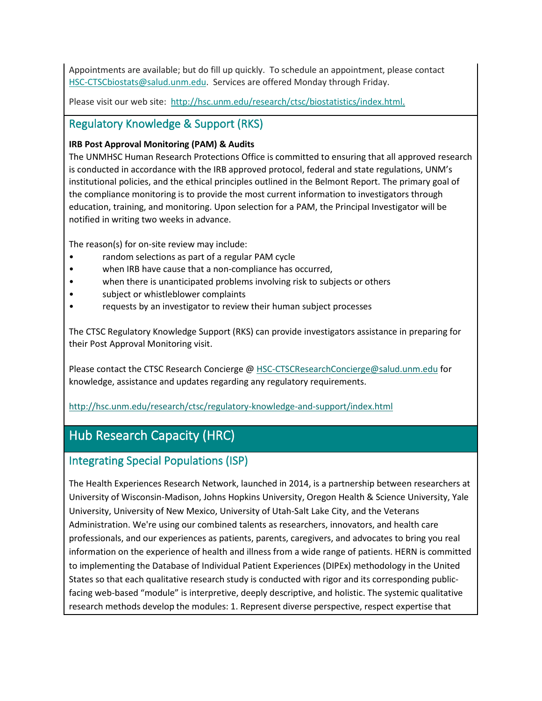Appointments are available; but do fill up quickly. To schedule an appointment, please contact [HSC-CTSCbiostats@salud.unm.edu.](mailto:HSC-CTSCbiostats@salud.unm.edu) Services are offered Monday through Friday.

Please visit our web site: [http://hsc.unm.edu/research/ctsc/biostatistics/index.html.](http://hsc.unm.edu/research/ctsc/biostatistics/index.html)

### <span id="page-11-0"></span>Regulatory Knowledge & Support (RKS)

#### **IRB Post Approval Monitoring (PAM) & Audits**

The UNMHSC Human Research Protections Office is committed to ensuring that all approved research is conducted in accordance with the IRB approved protocol, federal and state regulations, UNM's institutional policies, and the ethical principles outlined in the Belmont Report. The primary goal of the compliance monitoring is to provide the most current information to investigators through education, training, and monitoring. Upon selection for a PAM, the Principal Investigator will be notified in writing two weeks in advance.

The reason(s) for on-site review may include:

- random selections as part of a regular PAM cycle
- when IRB have cause that a non-compliance has occurred,
- when there is unanticipated problems involving risk to subjects or others
- subject or whistleblower complaints
- requests by an investigator to review their human subject processes

The CTSC Regulatory Knowledge Support (RKS) can provide investigators assistance in preparing for their Post Approval Monitoring visit.

Please contact the CTSC Research Concierge @ [HSC-CTSCResearchConcierge@salud.unm.edu](mailto:HSC-CTSCResearchConcierge@salud.unm.edu) for knowledge, assistance and updates regarding any regulatory requirements.

#### <http://hsc.unm.edu/research/ctsc/regulatory-knowledge-and-support/index.html>

# Hub Research Capacity (HRC)

### Integrating Special Populations (ISP)

The Health Experiences Research Network, launched in 2014, is a partnership between researchers at University of Wisconsin-Madison, Johns Hopkins University, Oregon Health & Science University, Yale University, University of New Mexico, University of Utah-Salt Lake City, and the Veterans Administration. We're using our combined talents as researchers, innovators, and health care professionals, and our experiences as patients, parents, caregivers, and advocates to bring you real information on the experience of health and illness from a wide range of patients. HERN is committed to implementing the Database of Individual Patient Experiences (DIPEx) methodology in the United States so that each qualitative research study is conducted with rigor and its corresponding publicfacing web-based "module" is interpretive, deeply descriptive, and holistic. The systemic qualitative research methods develop the modules: 1. Represent diverse perspective, respect expertise that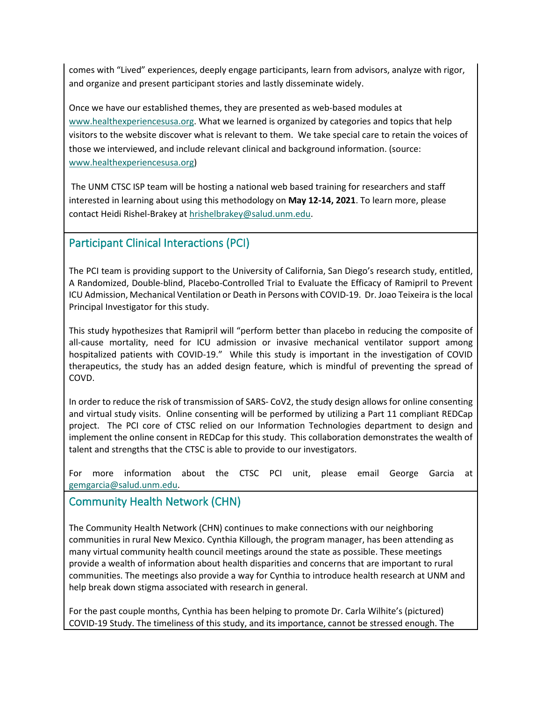comes with "Lived" experiences, deeply engage participants, learn from advisors, analyze with rigor, and organize and present participant stories and lastly disseminate widely.

Once we have our established themes, they are presented as web-based modules at [www.healthexperiencesusa.org.](http://www.healthexperiencesusa.org/) What we learned is organized by categories and topics that help visitors to the website discover what is relevant to them. We take special care to retain the voices of those we interviewed, and include relevant clinical and background information. (source: [www.healthexperiencesusa.org\)](http://www.healthexperiencesusa.org/)

The UNM CTSC ISP team will be hosting a national web based training for researchers and staff interested in learning about using this methodology on **May 12-14, 2021**. To learn more, please contact Heidi Rishel-Brakey at [hrishelbrakey@salud.unm.edu.](mailto:hrishelbrakey@salud.unm.edu)

### <span id="page-12-1"></span>Participant Clinical Interactions (PCI)

The PCI team is providing support to the University of California, San Diego's research study, entitled, A Randomized, Double-blind, Placebo-Controlled Trial to Evaluate the Efficacy of Ramipril to Prevent ICU Admission, Mechanical Ventilation or Death in Persons with COVID-19. Dr. Joao Teixeira is the local Principal Investigator for this study.

This study hypothesizes that Ramipril will "perform better than placebo in reducing the composite of all-cause mortality, need for ICU admission or invasive mechanical ventilator support among hospitalized patients with COVID-19." While this study is important in the investigation of COVID therapeutics, the study has an added design feature, which is mindful of preventing the spread of COVD.

In order to reduce the risk of transmission of SARS- CoV2, the study design allows for online consenting and virtual study visits. Online consenting will be performed by utilizing a Part 11 compliant REDCap project. The PCI core of CTSC relied on our Information Technologies department to design and implement the online consent in REDCap for this study. This collaboration demonstrates the wealth of talent and strengths that the CTSC is able to provide to our investigators.

For more information about the CTSC PCI unit, please email George Garcia at [gemgarcia@salud.unm.edu.](mailto:gemgarcia@salud.unm.edu)

### <span id="page-12-0"></span>Community Health Network (CHN)

The Community Health Network (CHN) continues to make connections with our neighboring communities in rural New Mexico. Cynthia Killough, the program manager, has been attending as many virtual community health council meetings around the state as possible. These meetings provide a wealth of information about health disparities and concerns that are important to rural communities. The meetings also provide a way for Cynthia to introduce health research at UNM and help break down stigma associated with research in general.

For the past couple months, Cynthia has been helping to promote Dr. Carla Wilhite's (pictured) COVID-19 Study. The timeliness of this study, and its importance, cannot be stressed enough. The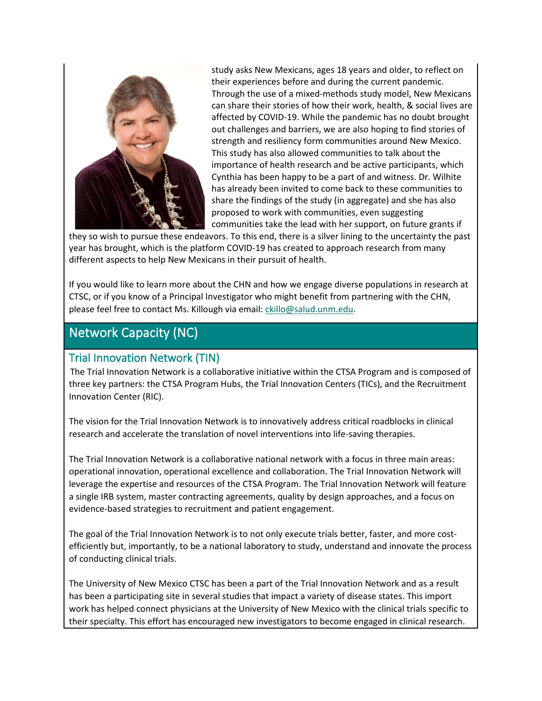

study asks New Mexicans, ages 18 years and older, to reflect on their experiences before and during the current pandemic. Through the use of a mixed-methods study model, New Mexicans can share their stories of how their work, health, & social lives are affected by COVID-19. While the pandemic has no doubt brought out challenges and barriers, we are also hoping to find stories of strength and resiliency form communities around New Mexico. This study has also allowed communities to talk about the importance of health research and be active participants, which Cynthia has been happy to be a part of and witness. Dr. Wilhite has already been invited to come back to these communities to share the findings of the study (in aggregate) and she has also proposed to work with communities, even suggesting communities take the lead with her support, on future grants if

they so wish to pursue these endeavors. To this end, there is a silver lining to the uncertainty the past year has brought, which is the platform COVID-19 has created to approach research from many different aspects to help New Mexicans in their pursuit of health.

If you would like to learn more about the CHN and how we engage diverse populations in research at CTSC, or if you know of a Principal Investigator who might benefit from partnering with the CHN, please feel free to contact Ms. Killough via email[: ckillo@salud.unm.edu.](mailto:ckillo@salud.unm.edu)

## Network Capacity (NC)

### <span id="page-13-0"></span>Trial Innovation Network (TIN)

The Trial Innovation Network is a collaborative initiative within the CTSA Program and is composed of three key partners: the CTSA Program Hubs, the Trial Innovation Centers (TICs), and the Recruitment Innovation Center (RIC).

The vision for the Trial Innovation Network is to innovatively address critical roadblocks in clinical research and accelerate the translation of novel interventions into life-saving therapies.

The Trial Innovation Network is a collaborative national network with a focus in three main areas: operational innovation, operational excellence and collaboration. The Trial Innovation Network will leverage the expertise and resources of the CTSA Program. The Trial Innovation Network will feature a single IRB system, master contracting agreements, quality by design approaches, and a focus on evidence-based strategies to recruitment and patient engagement.

The goal of the Trial Innovation Network is to not only execute trials better, faster, and more costefficiently but, importantly, to be a national laboratory to study, understand and innovate the process of conducting clinical trials.

The University of New Mexico CTSC has been a part of the Trial Innovation Network and as a result has been a participating site in several studies that impact a variety of disease states. This import work has helped connect physicians at the University of New Mexico with the clinical trials specific to their specialty. This effort has encouraged new investigators to become engaged in clinical research.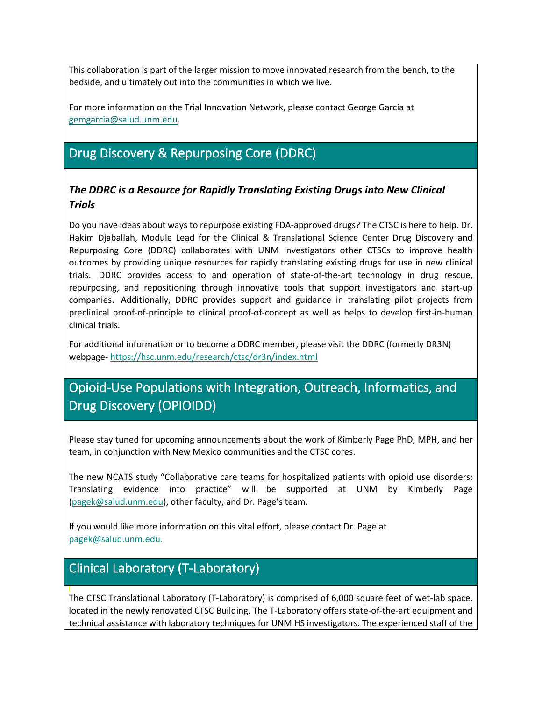This collaboration is part of the larger mission to move innovated research from the bench, to the bedside, and ultimately out into the communities in which we live.

For more information on the Trial Innovation Network, please contact George Garcia at [gemgarcia@salud.unm.edu.](mailto:gemgarcia@salud.unm.edu)

# Drug Discovery & Repurposing Core (DDRC)

### *The DDRC is a Resource for Rapidly Translating Existing Drugs into New Clinical Trials*

Do you have ideas about ways to repurpose existing FDA-approved drugs? The CTSC is here to help. Dr. Hakim Djaballah, Module Lead for the Clinical & Translational Science Center Drug Discovery and Repurposing Core (DDRC) collaborates with UNM investigators other CTSCs to improve health outcomes by providing unique resources for rapidly translating existing drugs for use in new clinical trials. DDRC provides access to and operation of state-of-the-art technology in drug rescue, repurposing, and repositioning through innovative tools that support investigators and start-up companies. Additionally, DDRC provides support and guidance in translating pilot projects from preclinical proof-of-principle to clinical proof-of-concept as well as helps to develop first-in-human clinical trials.

For additional information or to become a DDRC member, please visit the DDRC (formerly DR3N) webpage- <https://hsc.unm.edu/research/ctsc/dr3n/index.html>

# Opioid-Use Populations with Integration, Outreach, Informatics, and Drug Discovery (OPIOIDD)

Please stay tuned for upcoming announcements about the work of Kimberly Page PhD, MPH, and her team, in conjunction with New Mexico communities and the CTSC cores.

The new NCATS study "Collaborative care teams for hospitalized patients with opioid use disorders: Translating evidence into practice" will be supported at UNM by Kimberly Page [\(pagek@salud.unm.edu\)](mailto:pagek@salud.unm.edu), other faculty, and Dr. Page's team.

If you would like more information on this vital effort, please contact Dr. Page at [pagek@salud.unm.edu.](mailto:pagek@salud.unm.edu)

# <span id="page-14-0"></span>Clinical Laboratory (T-Laboratory)

The CTSC Translational Laboratory (T-Laboratory) is comprised of 6,000 square feet of wet-lab space, located in the newly renovated CTSC Building. The T-Laboratory offers state-of-the-art equipment and technical assistance with laboratory techniques for UNM HS investigators. The experienced staff of the